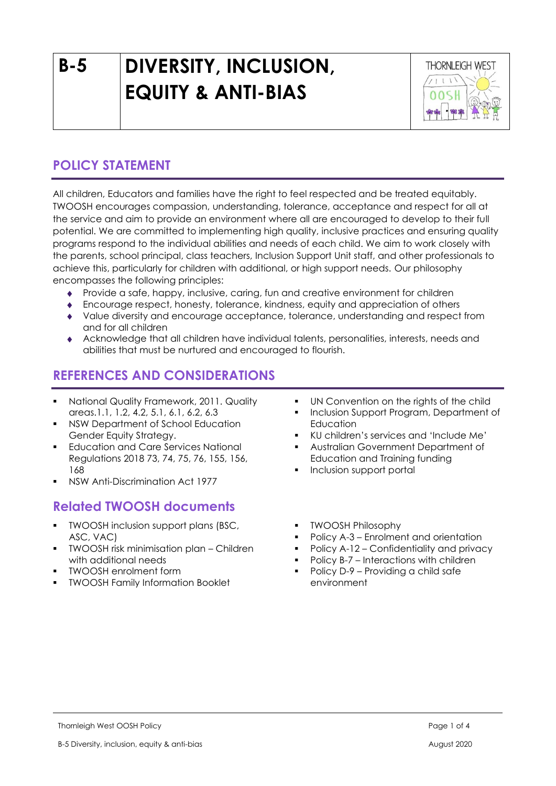# **B-5 DIVERSITY, INCLUSION, EQUITY & ANTI-BIAS**



# **POLICY STATEMENT**

All children, Educators and families have the right to feel respected and be treated equitably. TWOOSH encourages compassion, understanding, tolerance, acceptance and respect for all at the service and aim to provide an environment where all are encouraged to develop to their full potential. We are committed to implementing high quality, inclusive practices and ensuring quality programs respond to the individual abilities and needs of each child. We aim to work closely with the parents, school principal, class teachers, Inclusion Support Unit staff, and other professionals to achieve this, particularly for children with additional, or high support needs. Our philosophy encompasses the following principles:

- Provide a safe, happy, inclusive, caring, fun and creative environment for children
- Encourage respect, honesty, tolerance, kindness, equity and appreciation of others
- Value diversity and encourage acceptance, tolerance, understanding and respect from and for all children
- Acknowledge that all children have individual talents, personalities, interests, needs and abilities that must be nurtured and encouraged to flourish.

## **REFERENCES AND CONSIDERATIONS**

- National Quality Framework, 2011. Quality areas.1.1, 1.2, 4.2, 5.1, 6.1, 6.2, 6.3
- NSW Department of School Education Gender Equity Strategy.
- **Education and Care Services National** Regulations 2018 73, 74, 75, 76, 155, 156, 168
- NSW Anti-Discrimination Act 1977

## **Related TWOOSH documents**

- **TWOOSH inclusion support plans (BSC,** ASC, VAC)
- **•** TWOOSH risk minimisation plan Children with additional needs
- TWOOSH enrolment form
- TWOOSH Family Information Booklet
- UN Convention on the rights of the child
- Inclusion Support Program, Department of **Education**
- KU children's services and 'Include Me'
- Australian Government Department of Education and Training funding
- Inclusion support portal
- **TWOOSH Philosophy**
- Policy A-3 Enrolment and orientation
- Policy A-12 Confidentiality and privacy
- Policy B-7 Interactions with children
- Policy D-9 Providing a child safe environment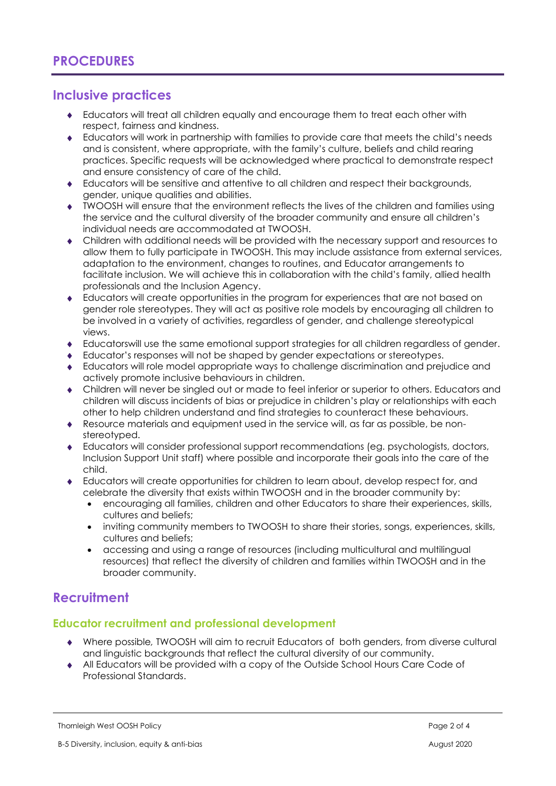## **Inclusive practices**

- Educators will treat all children equally and encourage them to treat each other with respect, fairness and kindness.
- Educators will work in partnership with families to provide care that meets the child's needs and is consistent, where appropriate, with the family's culture, beliefs and child rearing practices. Specific requests will be acknowledged where practical to demonstrate respect and ensure consistency of care of the child.
- Educators will be sensitive and attentive to all children and respect their backgrounds, gender, unique qualities and abilities.
- TWOOSH will ensure that the environment reflects the lives of the children and families using the service and the cultural diversity of the broader community and ensure all children's individual needs are accommodated at TWOOSH.
- Children with additional needs will be provided with the necessary support and resources to allow them to fully participate in TWOOSH. This may include assistance from external services, adaptation to the environment, changes to routines, and Educator arrangements to facilitate inclusion. We will achieve this in collaboration with the child's family, allied health professionals and the Inclusion Agency.
- Educators will create opportunities in the program for experiences that are not based on gender role stereotypes. They will act as positive role models by encouraging all children to be involved in a variety of activities, regardless of gender, and challenge stereotypical views.
- Educatorswill use the same emotional support strategies for all children regardless of gender.
- Educator's responses will not be shaped by gender expectations or stereotypes.
- Educators will role model appropriate ways to challenge discrimination and prejudice and actively promote inclusive behaviours in children.
- Children will never be singled out or made to feel inferior or superior to others. Educators and children will discuss incidents of bias or prejudice in children's play or relationships with each other to help children understand and find strategies to counteract these behaviours.
- Resource materials and equipment used in the service will, as far as possible, be nonstereotyped.
- Educators will consider professional support recommendations (eg. psychologists, doctors, Inclusion Support Unit staff) where possible and incorporate their goals into the care of the child.
- Educators will create opportunities for children to learn about, develop respect for, and celebrate the diversity that exists within TWOOSH and in the broader community by:
	- encouraging all families, children and other Educators to share their experiences, skills, cultures and beliefs;
	- inviting community members to TWOOSH to share their stories, songs, experiences, skills, cultures and beliefs;
	- accessing and using a range of resources (including multicultural and multilingual resources) that reflect the diversity of children and families within TWOOSH and in the broader community.

## **Recruitment**

#### **Educator recruitment and professional development**

- Where possible*,* TWOOSH will aim to recruit Educators of both genders, from diverse cultural and linguistic backgrounds that reflect the cultural diversity of our community.
- All Educators will be provided with a copy of the Outside School Hours Care Code of Professional Standards.

Thornleigh West OOSH Policy Page 2 of 4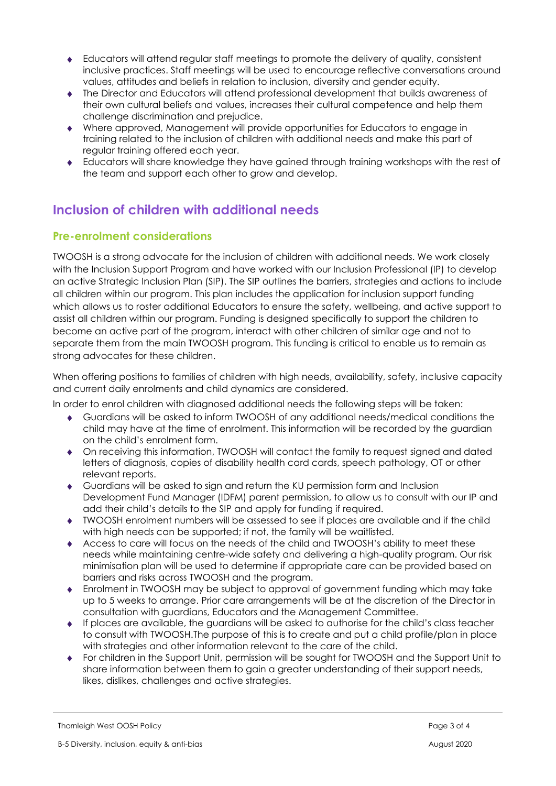- Educators will attend regular staff meetings to promote the delivery of quality, consistent inclusive practices. Staff meetings will be used to encourage reflective conversations around values, attitudes and beliefs in relation to inclusion, diversity and gender equity.
- The Director and Educators will attend professional development that builds awareness of their own cultural beliefs and values, increases their cultural competence and help them challenge discrimination and prejudice.
- Where approved, Management will provide opportunities for Educators to engage in training related to the inclusion of children with additional needs and make this part of regular training offered each year.
- Educators will share knowledge they have gained through training workshops with the rest of the team and support each other to grow and develop.

# **Inclusion of children with additional needs**

#### **Pre-enrolment considerations**

TWOOSH is a strong advocate for the inclusion of children with additional needs. We work closely with the Inclusion Support Program and have worked with our Inclusion Professional (IP) to develop an active Strategic Inclusion Plan (SIP). The SIP outlines the barriers, strategies and actions to include all children within our program. This plan includes the application for inclusion support funding which allows us to roster additional Educators to ensure the safety, wellbeing, and active support to assist all children within our program. Funding is designed specifically to support the children to become an active part of the program, interact with other children of similar age and not to separate them from the main TWOOSH program. This funding is critical to enable us to remain as strong advocates for these children.

When offering positions to families of children with high needs, availability, safety, inclusive capacity and current daily enrolments and child dynamics are considered.

In order to enrol children with diagnosed additional needs the following steps will be taken:

- Guardians will be asked to inform TWOOSH of any additional needs/medical conditions the child may have at the time of enrolment. This information will be recorded by the guardian on the child's enrolment form.
- On receiving this information, TWOOSH will contact the family to request signed and dated letters of diagnosis, copies of disability health card cards, speech pathology, OT or other relevant reports.
- Guardians will be asked to sign and return the KU permission form and Inclusion Development Fund Manager (IDFM) parent permission, to allow us to consult with our IP and add their child's details to the SIP and apply for funding if required.
- TWOOSH enrolment numbers will be assessed to see if places are available and if the child with high needs can be supported; if not, the family will be waitlisted.
- Access to care will focus on the needs of the child and TWOOSH's ability to meet these needs while maintaining centre-wide safety and delivering a high-quality program. Our risk minimisation plan will be used to determine if appropriate care can be provided based on barriers and risks across TWOOSH and the program.
- Enrolment in TWOOSH may be subject to approval of government funding which may take up to 5 weeks to arrange. Prior care arrangements will be at the discretion of the Director in consultation with guardians, Educators and the Management Committee.
- $\bullet$  If places are available, the auardians will be asked to authorise for the child's class teacher to consult with TWOOSH.The purpose of this is to create and put a child profile/plan in place with strategies and other information relevant to the care of the child.
- For children in the Support Unit, permission will be sought for TWOOSH and the Support Unit to share information between them to gain a greater understanding of their support needs, likes, dislikes, challenges and active strategies.